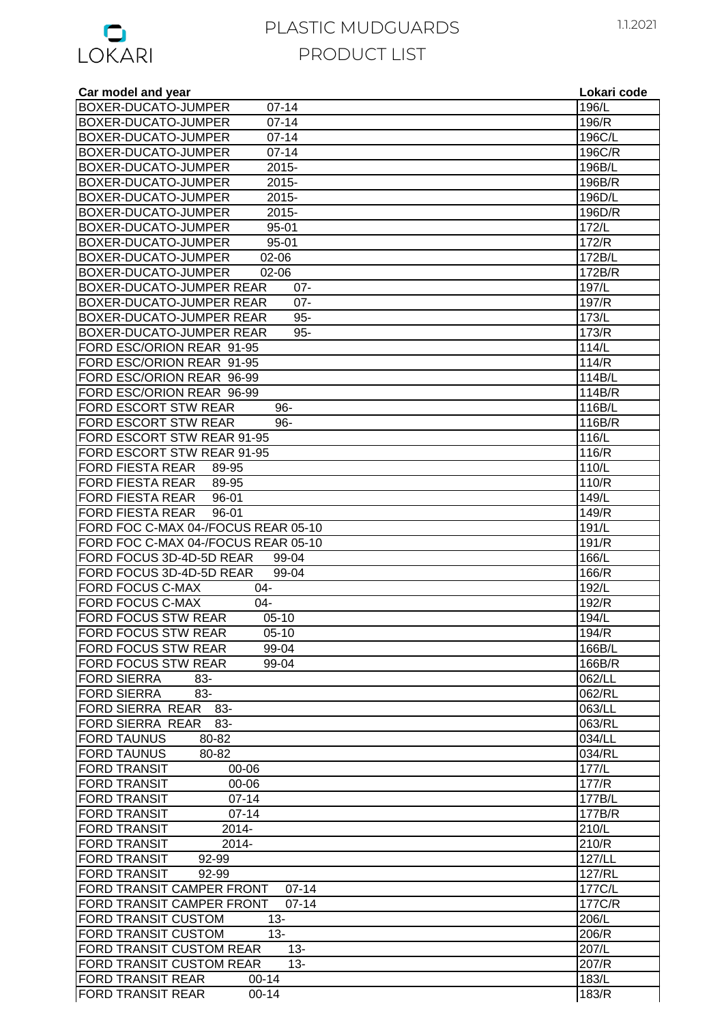

| Car model and year                     | Lokari code    |
|----------------------------------------|----------------|
| BOXER-DUCATO-JUMPER<br>$07 - 14$       | 196/L          |
| BOXER-DUCATO-JUMPER<br>$07 - 14$       | 196/R          |
| $07 - 14$<br>BOXER-DUCATO-JUMPER       | 196C/L         |
| $07 - 14$<br>BOXER-DUCATO-JUMPER       | 196C/R         |
| 2015-<br>BOXER-DUCATO-JUMPER           | 196B/L         |
| 2015-<br>BOXER-DUCATO-JUMPER           | 196B/R         |
| 2015-<br>BOXER-DUCATO-JUMPER           | 196D/L         |
| BOXER-DUCATO-JUMPER<br>2015-           | 196D/R         |
| BOXER-DUCATO-JUMPER<br>95-01           | 172/L          |
| $95 - 01$<br>BOXER-DUCATO-JUMPER       | 172/R          |
| BOXER-DUCATO-JUMPER<br>02-06           | 172B/L         |
| BOXER-DUCATO-JUMPER<br>02-06           | 172B/R         |
| BOXER-DUCATO-JUMPER REAR<br>$07 -$     | 197/L          |
| BOXER-DUCATO-JUMPER REAR<br>$07 -$     | 197/R          |
| BOXER-DUCATO-JUMPER REAR<br>$95 -$     | 173/L          |
| BOXER-DUCATO-JUMPER REAR<br>$95 -$     | 173/R          |
| FORD ESC/ORION REAR 91-95              | 114/L          |
| FORD ESC/ORION REAR 91-95              | 114/R          |
| FORD ESC/ORION REAR 96-99              | 114B/L         |
| FORD ESC/ORION REAR 96-99              | 114B/R         |
| FORD ESCORT STW REAR<br>$96 -$         | 116B/L         |
| FORD ESCORT STW REAR<br>96-            | 116B/R         |
| FORD ESCORT STW REAR 91-95             | 116/L          |
| FORD ESCORT STW REAR 91-95             | 116/R          |
| <b>FORD FIESTA REAR</b><br>89-95       | 110/L          |
| FORD FIESTA REAR<br>89-95              | 110/R          |
| <b>FORD FIESTA REAR</b><br>96-01       | 149/L          |
| <b>FORD FIESTA REAR</b><br>96-01       | 149/R          |
| FORD FOC C-MAX 04-/FOCUS REAR 05-10    | 191/L          |
| FORD FOC C-MAX 04-/FOCUS REAR 05-10    | 191/R          |
| FORD FOCUS 3D-4D-5D REAR<br>99-04      | 166/L          |
| FORD FOCUS 3D-4D-5D REAR<br>99-04      | 166/R          |
| <b>FORD FOCUS C-MAX</b><br>$04 -$      | 192/L          |
| <b>FORD FOCUS C-MAX</b><br>$04 -$      | 192/R          |
| FORD FOCUS STW REAR<br>$05-10$         | 194/L          |
| $05-10$<br><b>FORD FOCUS STW REAR</b>  | 194/R          |
| <b>FORD FOCUS STW REAR</b><br>99-04    | 166B/L         |
| <b>FORD FOCUS STW REAR</b><br>99-04    | 166B/R         |
| <b>FORD SIERRA</b><br>83-              | 062/LL         |
| <b>FORD SIERRA</b><br>83-              | 062/RL         |
| FORD SIERRA REAR<br>-83                | 063/LL         |
| FORD SIERRA REAR 83-                   | 063/RL         |
| <b>FORD TAUNUS</b><br>80-82            | 034/LL         |
| <b>FORD TAUNUS</b><br>80-82            | 034/RL         |
| <b>FORD TRANSIT</b><br>00-06           | 177/L          |
| <b>FORD TRANSIT</b><br>00-06           | 177/R          |
| $07 - 14$<br><b>FORD TRANSIT</b>       | 177B/L         |
| $07 - 14$<br><b>FORD TRANSIT</b>       | 177B/R         |
| <b>FORD TRANSIT</b><br>2014-           |                |
| <b>FORD TRANSIT</b><br>2014-           | 210/L<br>210/R |
| <b>FORD TRANSIT</b><br>92-99           | 127/LL         |
|                                        |                |
| <b>FORD TRANSIT</b><br>92-99           | 127/RL         |
| FORD TRANSIT CAMPER FRONT<br>$07-14$   | 177C/L         |
| FORD TRANSIT CAMPER FRONT<br>$07 - 14$ | 177C/R         |
| FORD TRANSIT CUSTOM<br>$13 -$          | 206/L          |
| <b>FORD TRANSIT CUSTOM</b><br>$13 -$   | 206/R          |
| FORD TRANSIT CUSTOM REAR<br>$13 -$     | 207/L          |
| FORD TRANSIT CUSTOM REAR<br>$13 -$     | 207/R          |
| <b>FORD TRANSIT REAR</b><br>$00 - 14$  | 183/L          |
| <b>FORD TRANSIT REAR</b><br>$00 - 14$  | 183/R          |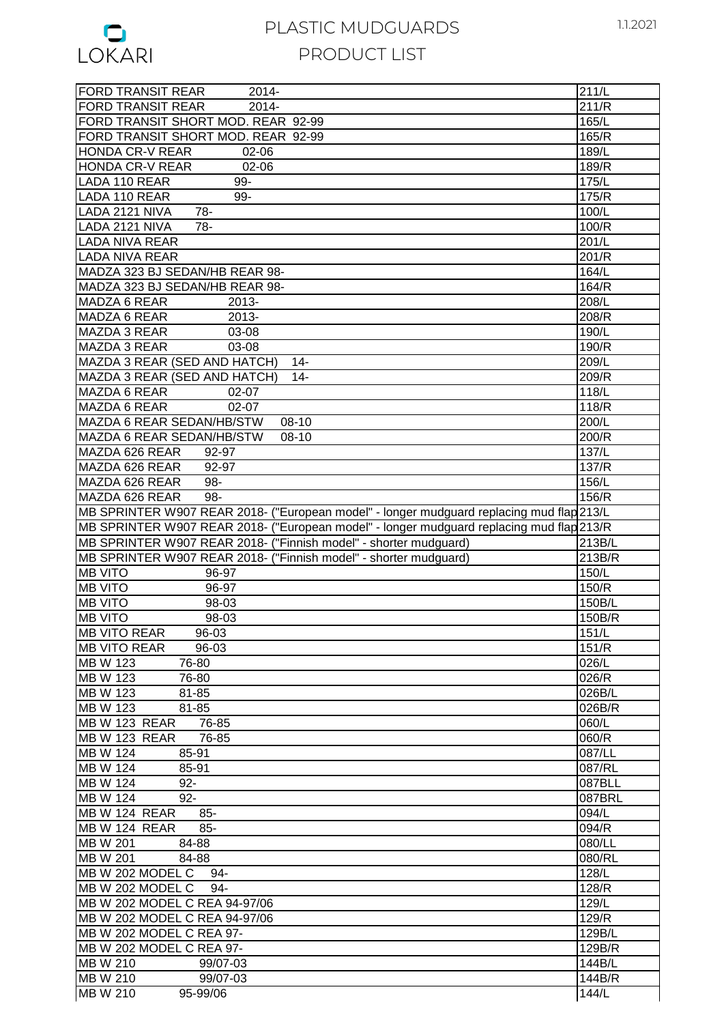

| <b>FORD TRANSIT REAR</b><br>2014-                                                        | 211/L                |
|------------------------------------------------------------------------------------------|----------------------|
| 2014-<br><b>FORD TRANSIT REAR</b>                                                        | 211/R                |
| FORD TRANSIT SHORT MOD. REAR 92-99                                                       | 165/L                |
| FORD TRANSIT SHORT MOD. REAR 92-99                                                       | 165/R                |
| <b>HONDA CR-V REAR</b><br>02-06                                                          | 189/L                |
|                                                                                          |                      |
| 02-06<br><b>HONDA CR-V REAR</b>                                                          | 189/R                |
| 99-<br>LADA 110 REAR                                                                     | 175/L                |
| 99-<br>LADA 110 REAR                                                                     | 175/R                |
| LADA 2121 NIVA<br>78-                                                                    | 100/L                |
| LADA 2121 NIVA<br>$78-$                                                                  | 100/R                |
| <b>LADA NIVA REAR</b>                                                                    | 201/L                |
| <b>LADA NIVA REAR</b>                                                                    | 201/R                |
| MADZA 323 BJ SEDAN/HB REAR 98-                                                           | 164/L                |
| MADZA 323 BJ SEDAN/HB REAR 98-                                                           | 164/R                |
|                                                                                          |                      |
| MADZA 6 REAR<br>2013-                                                                    | 208/L                |
| MADZA 6 REAR<br>2013-                                                                    | 208/R                |
| MAZDA 3 REAR<br>03-08                                                                    | 190/L                |
| $03 - 08$<br><b>MAZDA 3 REAR</b>                                                         | 190/R                |
| MAZDA 3 REAR (SED AND HATCH)<br>$14-$                                                    | 209/L                |
| MAZDA 3 REAR (SED AND HATCH)<br>$14 -$                                                   | 209/R                |
| MAZDA 6 REAR<br>02-07                                                                    | 118/L                |
| MAZDA 6 REAR<br>$02 - 07$                                                                | 118/R                |
| MAZDA 6 REAR SEDAN/HB/STW<br>$08-10$                                                     | 200/L                |
|                                                                                          | 200/R                |
| MAZDA 6 REAR SEDAN/HB/STW<br>08-10                                                       |                      |
| MAZDA 626 REAR<br>92-97                                                                  | 137/L                |
| MAZDA 626 REAR<br>92-97                                                                  | 137/R                |
| MAZDA 626 REAR<br>98-                                                                    | 156/L                |
| MAZDA 626 REAR<br>98-                                                                    | 156/R                |
| MB SPRINTER W907 REAR 2018- ("European model" - longer mudguard replacing mud flap 213/L |                      |
| MB SPRINTER W907 REAR 2018- ("European model" - longer mudguard replacing mud flap 213/R |                      |
| MB SPRINTER W907 REAR 2018- ("Finnish model" - shorter mudguard)                         | $\overline{2}$ 13B/L |
| MB SPRINTER W907 REAR 2018- ("Finnish model" - shorter mudguard)                         | 213B/R               |
| <b>MB VITO</b><br>96-97                                                                  | 150/L                |
| <b>MB VITO</b><br>96-97                                                                  | 150/R                |
| <b>MB VITO</b><br>98-03                                                                  | 150B/L               |
| <b>MB VITO</b><br>98-03                                                                  | 150B/R               |
|                                                                                          |                      |
| <b>MB VITO REAR</b><br>96-03                                                             | 151/L                |
| <b>MB VITO REAR</b><br>96-03                                                             | 151/R                |
| <b>MB W 123</b><br>76-80                                                                 | 026/L                |
| <b>MB W 123</b><br>76-80                                                                 | 026/R                |
| MB W 123<br>81-85                                                                        | 026B/L               |
| <b>MB W 123</b><br>81-85                                                                 | 026B/R               |
| MB W 123 REAR<br>76-85                                                                   | 060/L                |
| MB W 123 REAR<br>76-85                                                                   | 060/R                |
| <b>MB W 124</b><br>85-91                                                                 | 087/LL               |
| <b>MB W 124</b><br>85-91                                                                 | 087/RL               |
| <b>MB W 124</b><br>$92 -$                                                                | 087BLL               |
| MB W 124<br>$92-$                                                                        |                      |
|                                                                                          | 087BRL               |
| MB W 124 REAR<br>$85 -$                                                                  | 094/L                |
| MB W 124 REAR<br>$85 -$                                                                  | 094/R                |
| <b>MB W 201</b><br>84-88                                                                 | 080/LL               |
| MB W 201<br>84-88                                                                        | 080/RL               |
| MB W 202 MODEL C 94-                                                                     | 128/L                |
| MB W 202 MODEL C<br>94-                                                                  | 128/R                |
| MB W 202 MODEL C REA 94-97/06                                                            | 129/L                |
| MB W 202 MODEL C REA 94-97/06                                                            | 129/R                |
| MB W 202 MODEL C REA 97-                                                                 | 129B/L               |
| MB W 202 MODEL C REA 97-                                                                 | 129B/R               |
| MB W 210<br>99/07-03                                                                     | 144B/L               |
| MB W 210<br>99/07-03                                                                     | 144B/R               |
| MB W 210                                                                                 |                      |
| 95-99/06                                                                                 | 144/L                |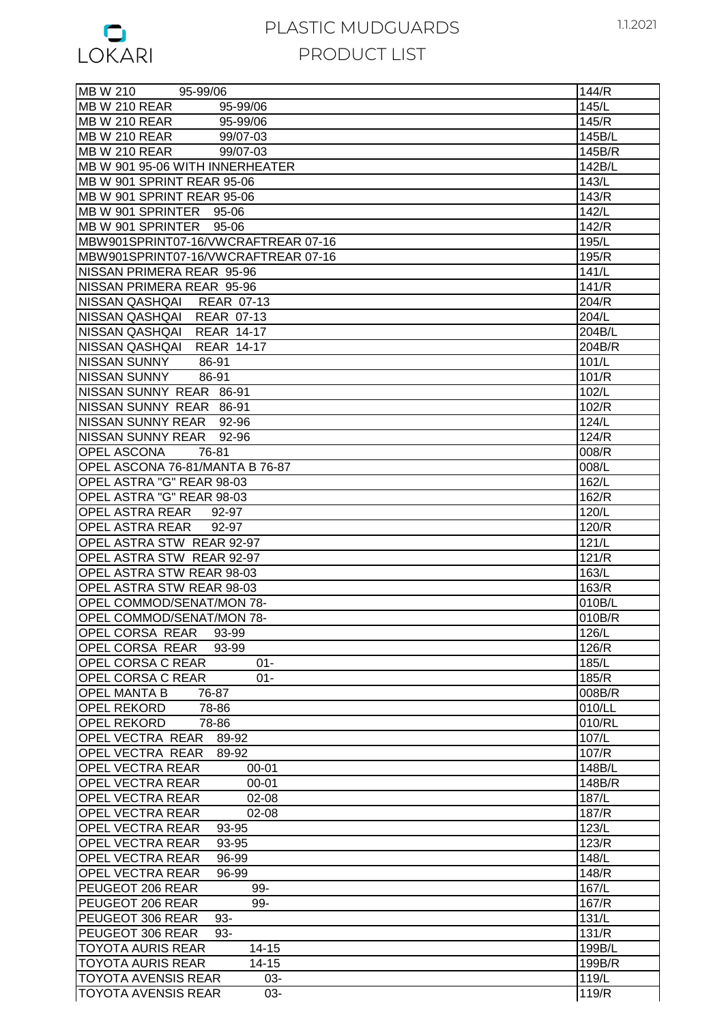

| $\frac{1}{95 - 99/06}$<br><b>MB W 210</b> | 144/R  |
|-------------------------------------------|--------|
| MB W 210 REAR<br>95-99/06                 | 145/L  |
| MB W 210 REAR<br>95-99/06                 | 145/R  |
| MB W 210 REAR<br>99/07-03                 | 145B/L |
| IMB W 210 REAR<br>99/07-03                | 145B/R |
| MB W 901 95-06 WITH INNERHEATER           | 142B/L |
| MB W 901 SPRINT REAR 95-06                | 143/L  |
|                                           |        |
| MB W 901 SPRINT REAR 95-06                | 143/R  |
| MB W 901 SPRINTER 95-06                   | 142/L  |
| MB W 901 SPRINTER 95-06                   | 142/R  |
| MBW901SPRINT07-16/VWCRAFTREAR 07-16       | 195/L  |
| MBW901SPRINT07-16/VWCRAFTREAR 07-16       | 195/R  |
| NISSAN PRIMERA REAR 95-96                 | 141/L  |
| NISSAN PRIMERA REAR 95-96                 | 141/R  |
|                                           |        |
| NISSAN QASHQAI REAR 07-13                 | 204/R  |
| NISSAN QASHQAI REAR 07-13                 | 204/L  |
| NISSAN QASHQAI REAR 14-17                 | 204B/L |
| NISSAN QASHQAI REAR 14-17                 | 204B/R |
| NISSAN SUNNY<br>86-91                     | 101/L  |
| INISSAN SUNNY<br>86-91                    | 101/R  |
| NISSAN SUNNY REAR 86-91                   | 102/L  |
|                                           |        |
| NISSAN SUNNY REAR 86-91                   | 102/R  |
| NISSAN SUNNY REAR 92-96                   | 124/L  |
| NISSAN SUNNY REAR 92-96                   | 124/R  |
| <b>OPEL ASCONA</b><br>76-81               | 008/R  |
| OPEL ASCONA 76-81/MANTA B 76-87           | 008/L  |
| OPEL ASTRA "G" REAR 98-03                 | 162/L  |
| OPEL ASTRA "G" REAR 98-03                 | 162/R  |
|                                           |        |
| OPEL ASTRA REAR 92-97                     | 120/L  |
| OPEL ASTRA REAR<br>92-97                  | 120/R  |
| <b>OPEL ASTRA STW REAR 92-97</b>          | 121/L  |
| <b>OPEL ASTRA STW REAR 92-97</b>          | 121/R  |
| OPEL ASTRA STW REAR 98-03                 | 163/L  |
| <b>OPEL ASTRA STW REAR 98-03</b>          | 163/R  |
| OPEL COMMOD/SENAT/MON 78-                 | 010B/L |
| OPEL COMMOD/SENAT/MON 78-                 | 010B/R |
|                                           |        |
| OPEL CORSA REAR<br>93-99                  | 126/L  |
| OPEL CORSA REAR<br>93-99                  | 126/R  |
| <b>OPEL CORSA C REAR</b><br>$01 -$        | 185/L  |
| <b>OPEL CORSA C REAR</b><br>$01 -$        | 185/R  |
| <b>OPEL MANTA B</b><br>76-87              | 008B/R |
| <b>OPEL REKORD</b><br>78-86               | 010/LL |
| <b>OPEL REKORD</b><br>78-86               | 010/RL |
| OPEL VECTRA REAR<br>89-92                 | 107/L  |
|                                           |        |
| OPEL VECTRA REAR<br>89-92                 | 107/R  |
| <b>OPEL VECTRA REAR</b><br>00-01          | 148B/L |
| <b>OPEL VECTRA REAR</b><br>$00 - 01$      | 148B/R |
| <b>OPEL VECTRA REAR</b><br>$02 - 08$      | 187/L  |
| <b>OPEL VECTRA REAR</b><br>$02 - 08$      | 187/R  |
| <b>OPEL VECTRA REAR</b><br>93-95          | 123/L  |
| <b>OPEL VECTRA REAR</b><br>93-95          | 123/R  |
| <b>OPEL VECTRA REAR</b><br>96-99          | 148/L  |
| <b>OPEL VECTRA REAR</b><br>96-99          | 148/R  |
|                                           |        |
| PEUGEOT 206 REAR<br>99-                   | 167/L  |
| PEUGEOT 206 REAR<br>99-                   | 167/R  |
| PEUGEOT 306 REAR<br>93-                   | 131/L  |
| PEUGEOT 306 REAR<br>93-                   | 131/R  |
| <b>TOYOTA AURIS REAR</b><br>$14 - 15$     | 199B/L |
| $14 - 15$<br><b>TOYOTA AURIS REAR</b>     | 199B/R |
| <b>TOYOTA AVENSIS REAR</b><br>03-         | 119/L  |
| <b>TOYOTA AVENSIS REAR</b><br>03-         | 119/R  |
|                                           |        |